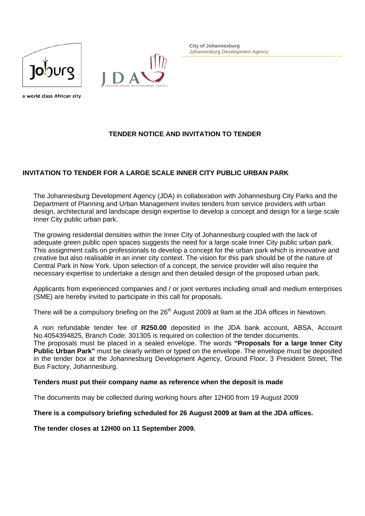



**City of Johannesburg**  Johannesburg Development Agency

a world class African city

## **TENDER NOTICE AND INVITATION TO TENDER**

## **INVITATION TO TENDER FOR A LARGE SCALE INNER CITY PUBLIC URBAN PARK**

The Johannesburg Development Agency (JDA) in collaboration with Johannesburg City Parks and the Department of Planning and Urban Management invites tenders from service providers with urban design, architectural and landscape design expertise to develop a concept and design for a large scale Inner City public urban park.

The growing residential densities within the Inner City of Johannesburg coupled with the lack of adequate green public open spaces suggests the need for a large scale Inner City public urban park. This assignment calls on professionals to develop a concept for the urban park which is innovative and creative but also realisable in an inner city context. The vision for this park should be of the nature of Central Park in New York. Upon selection of a concept, the service provider will also require the necessary expertise to undertake a design and then detailed design of the proposed urban park.

Applicants from experienced companies and / or joint ventures including small and medium enterprises (SME) are hereby invited to participate in this call for proposals.

There will be a compulsory briefing on the 26<sup>th</sup> August 2009 at 9am at the JDA offices in Newtown.

A non refundable tender fee of **R250.00** deposited in the JDA bank account, ABSA, Account No.4054394825, Branch Code: 301305 is required on collection of the tender documents.

The proposals must be placed in a sealed envelope. The words **"Proposals for a large Inner City**  Public Urban Park" must be clearly written or typed on the envelope. The envelope must be deposited in the tender box at the Johannesburg Development Agency, Ground Floor, 3 President Street, The Bus Factory, Johannesburg.

## **Tenders must put their company name as reference when the deposit is made**

The documents may be collected during working hours after 12H00 from 19 August 2009

**There is a compulsory briefing scheduled for 26 August 2009 at 9am at the JDA offices.** 

**The tender closes at 12H00 on 11 September 2009.**